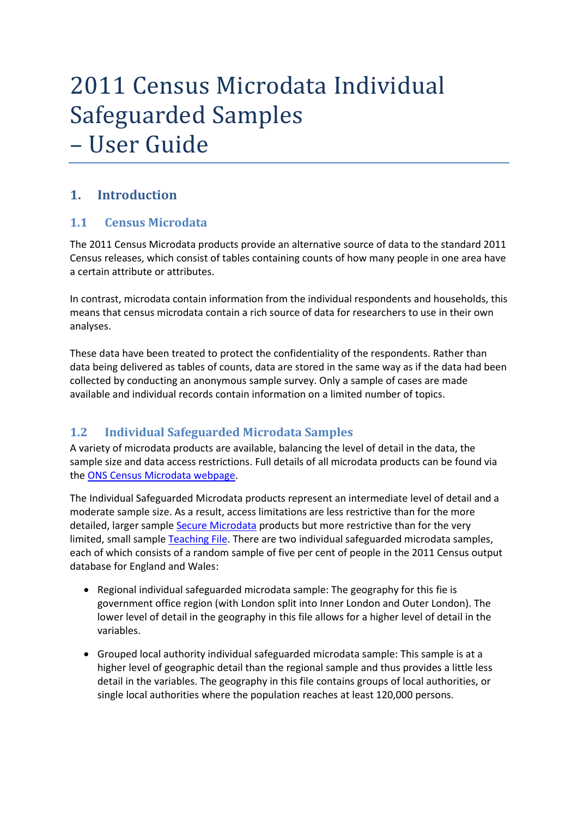# 2011 Census Microdata Individual Safeguarded Samples – User Guide

## **1. Introduction**

#### **1.1 Census Microdata**

The 2011 Census Microdata products provide an alternative source of data to the standard 2011 Census releases, which consist of tables containing counts of how many people in one area have a certain attribute or attributes.

In contrast, microdata contain information from the individual respondents and households, this means that census microdata contain a rich source of data for researchers to use in their own analyses.

These data have been treated to protect the confidentiality of the respondents. Rather than data being delivered as tables of counts, data are stored in the same way as if the data had been collected by conducting an anonymous sample survey. Only a sample of cases are made available and individual records contain information on a limited number of topics.

## **1.2 Individual Safeguarded Microdata Samples**

A variety of microdata products are available, balancing the level of detail in the data, the sample size and data access restrictions. Full details of all microdata products can be found via the [ONS Census Microdata webpage.](http://www.ons.gov.uk/ons/guide-method/census/2011/census-data/census-microdata/index.html)

The Individual Safeguarded Microdata products represent an intermediate level of detail and a moderate sample size. As a result, access limitations are less restrictive than for the more detailed, larger sampl[e Secure Microdata](http://www.ons.gov.uk/ons/guide-method/census/2011/census-data/census-microdata/census-in-the-virtual-microdata-laboratory/index.html) products but more restrictive than for the very limited, small sample [Teaching File.](http://www.ons.gov.uk/ons/guide-method/census/2011/census-data/census-microdata/microdata-teaching-file/index.html) There are two individual safeguarded microdata samples, each of which consists of a random sample of five per cent of people in the 2011 Census output database for England and Wales:

- $\bullet$  Regional individual safeguarded microdata sample: The geography for this fie is government office region (with London split into Inner London and Outer London). The lower level of detail in the geography in this file allows for a higher level of detail in the variables.
- Grouped local authority individual safeguarded microdata sample: This sample is at a higher level of geographic detail than the regional sample and thus provides a little less detail in the variables. The geography in this file contains groups of local authorities, or single local authorities where the population reaches at least 120,000 persons.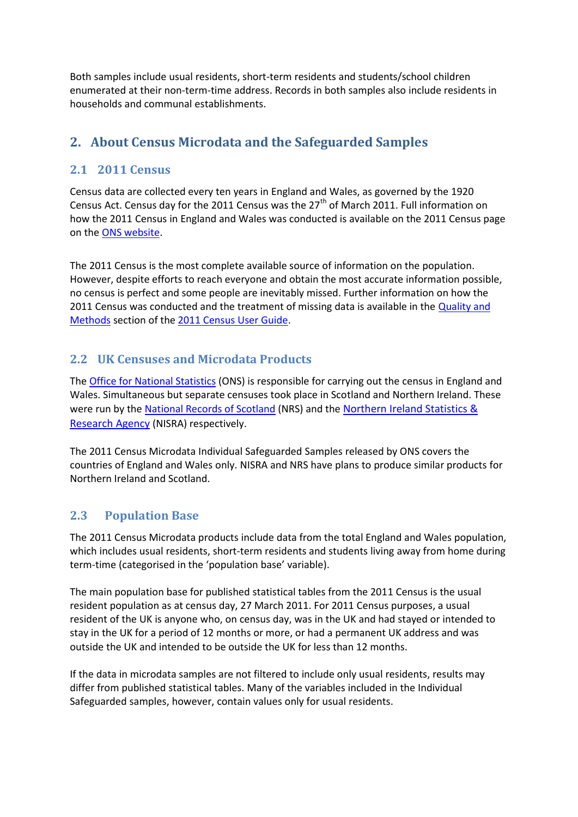Both samples include usual residents, short-term residents and students/school children enumerated at their non-term-time address. Records in both samples also include residents in households and communal establishments.

## **2. About Census Microdata and the Safeguarded Samples**

## **2.1 2011 Census**

Census data are collected every ten years in England and Wales, as governed by the 1920 Census Act. Census day for the 2011 Census was the  $27<sup>th</sup>$  of March 2011. Full information on how the 2011 Census in England and Wales was conducted is available on the 2011 Census page on the [ONS website.](http://www.ons.gov.uk/ons/guide-method/census/2011/index.html)

The 2011 Census is the most complete available source of information on the population. However, despite efforts to reach everyone and obtain the most accurate information possible, no census is perfect and some people are inevitably missed. Further information on how the 2011 Census was conducted and the treatment of missing data is available in the [Quality and](http://www.ons.gov.uk/ons/guide-method/census/2011/census-data/2011-census-user-guide/quality-and-methods/index.html)  [Methods](http://www.ons.gov.uk/ons/guide-method/census/2011/census-data/2011-census-user-guide/quality-and-methods/index.html) section of the [2011 Census User Guide.](http://www.ons.gov.uk/ons/guide-method/census/2011/census-data/2011-census-user-guide/index.html)

## **2.2 UK Censuses and Microdata Products**

The [Office for National Statistics](http://www.ons.gov.uk/ons/guide-method/census/2011/index.html) (ONS) is responsible for carrying out the census in England and Wales. Simultaneous but separate censuses took place in Scotland and Northern Ireland. These were run by the [National Records of Scotland](http://www.scotlandscensus.gov.uk/) (NRS) and the Northern Ireland Statistics & [Research Agency](http://www.nisra.gov.uk/Census.html) (NISRA) respectively.

The 2011 Census Microdata Individual Safeguarded Samples released by ONS covers the countries of England and Wales only. NISRA and NRS have plans to produce similar products for Northern Ireland and Scotland.

## **2.3 Population Base**

The 2011 Census Microdata products include data from the total England and Wales population, which includes usual residents, short-term residents and students living away from home during term-time (categorised in the 'population base' variable).

The main population base for published statistical tables from the 2011 Census is the usual resident population as at census day, 27 March 2011. For 2011 Census purposes, a usual resident of the UK is anyone who, on census day, was in the UK and had stayed or intended to stay in the UK for a period of 12 months or more, or had a permanent UK address and was outside the UK and intended to be outside the UK for less than 12 months.

If the data in microdata samples are not filtered to include only usual residents, results may differ from published statistical tables. Many of the variables included in the Individual Safeguarded samples, however, contain values only for usual residents.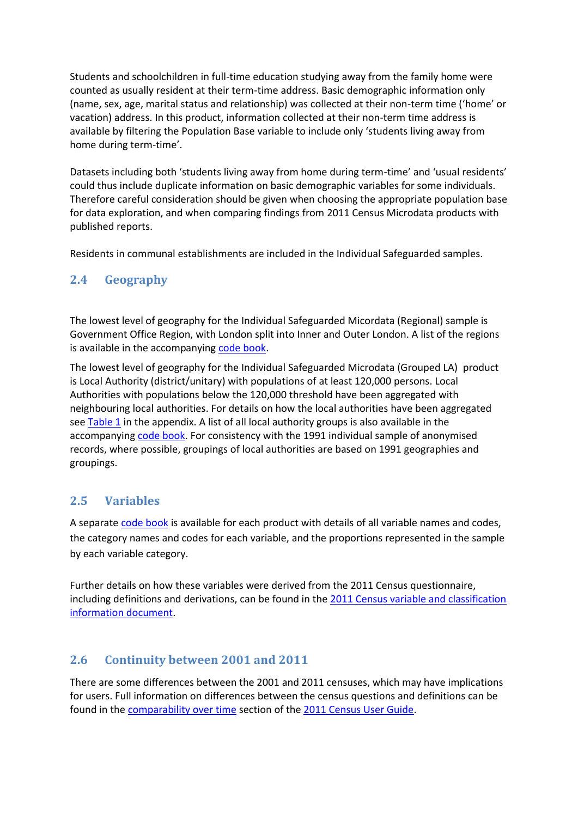Students and schoolchildren in full-time education studying away from the family home were counted as usually resident at their term-time address. Basic demographic information only (name, sex, age, marital status and relationship) was collected at their non-term time ('home' or vacation) address. In this product, information collected at their non-term time address is available by filtering the Population Base variable to include only 'students living away from home during term-time'.

Datasets including both 'students living away from home during term-time' and 'usual residents' could thus include duplicate information on basic demographic variables for some individuals. Therefore careful consideration should be given when choosing the appropriate population base for data exploration, and when comparing findings from 2011 Census Microdata products with published reports.

Residents in communal establishments are included in the Individual Safeguarded samples.

#### **2.4 Geography**

The lowest level of geography for the Individual Safeguarded Micordata (Regional) sample is Government Office Region, with London split into Inner and Outer London. A list of the regions is available in the accompanying [code book.](http://www.ons.gov.uk/ons/guide-method/census/2011/census-data/census-microdata/safeguarded-microdata/index.html)

The lowest level of geography for the Individual Safeguarded Microdata (Grouped LA) product is Local Authority (district/unitary) with populations of at least 120,000 persons. Local Authorities with populations below the 120,000 threshold have been aggregated with neighbouring local authorities. For details on how the local authorities have been aggregated se[e Table 1](#page-4-0) in the appendix. A list of all local authority groups is also available in the accompanying [code book.](http://www.ons.gov.uk/ons/guide-method/census/2011/census-data/census-microdata/safeguarded-microdata/index.html) For consistency with the 1991 individual sample of anonymised records, where possible, groupings of local authorities are based on 1991 geographies and groupings.

#### **2.5 Variables**

A separate [code book](http://www.ons.gov.uk/ons/guide-method/census/2011/census-data/census-microdata/safeguarded-microdata/index.html) is available for each product with details of all variable names and codes, the category names and codes for each variable, and the proportions represented in the sample by each variable category.

Further details on how these variables were derived from the 2011 Census questionnaire, including definitions and derivations, can be found in the [2011 Census variable and classification](http://www.ons.gov.uk/ons/guide-method/census/2011/census-data/2011-census-user-guide/information-by-variable/index.html)  [information document.](http://www.ons.gov.uk/ons/guide-method/census/2011/census-data/2011-census-user-guide/information-by-variable/index.html)

#### **2.6 Continuity between 2001 and 2011**

There are some differences between the 2001 and 2011 censuses, which may have implications for users. Full information on differences between the census questions and definitions can be found in the [comparability over time](http://www.ons.gov.uk/ons/guide-method/census/2011/census-data/2011-census-user-guide/comparability-over-time/index.html) section of the [2011 Census User Guide.](http://www.ons.gov.uk/ons/guide-method/census/2011/census-data/2011-census-user-guide/index.html)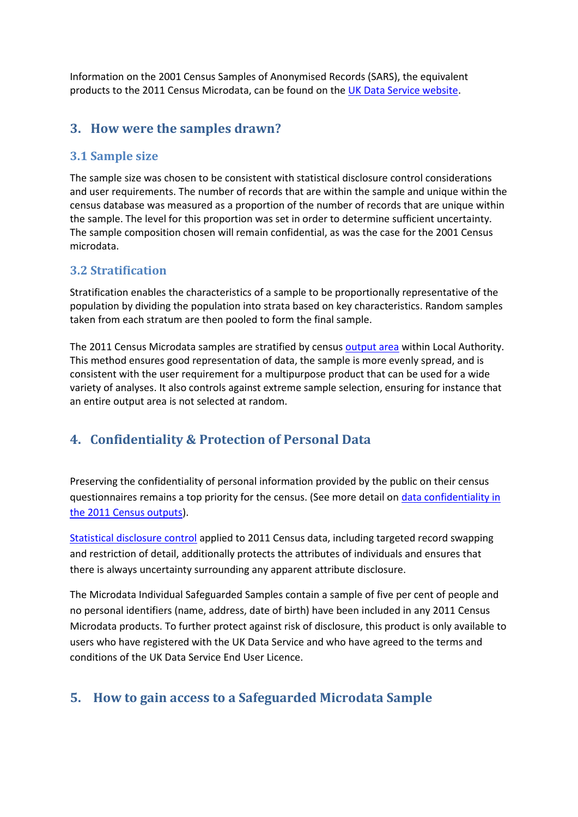Information on the 2001 Census Samples of Anonymised Records (SARS), the equivalent products to the 2011 Census Microdata, can be found on th[e UK Data Service website.](http://census.ukdataservice.ac.uk/use-data/guides/microdata.aspx)

## **3. How were the samples drawn?**

#### **3.1 Sample size**

The sample size was chosen to be consistent with statistical disclosure control considerations and user requirements. The number of records that are within the sample and unique within the census database was measured as a proportion of the number of records that are unique within the sample. The level for this proportion was set in order to determine sufficient uncertainty. The sample composition chosen will remain confidential, as was the case for the 2001 Census microdata.

#### **3.2 Stratification**

Stratification enables the characteristics of a sample to be proportionally representative of the population by dividing the population into strata based on key characteristics. Random samples taken from each stratum are then pooled to form the final sample.

The 2011 Census Microdata samples are stratified by census [output area](http://www.ons.gov.uk/ons/guide-method/census/2011/census-data/2011-census-prospectus/new-developments-for-2011-census-results/2011-census-geography/output-areas/index.html) within Local Authority. This method ensures good representation of data, the sample is more evenly spread, and is consistent with the user requirement for a multipurpose product that can be used for a wide variety of analyses. It also controls against extreme sample selection, ensuring for instance that an entire output area is not selected at random.

## **4. Confidentiality & Protection of Personal Data**

Preserving the confidentiality of personal information provided by the public on their census questionnaires remains a top priority for the census. (See more detail on [data confidentiality in](http://www.ons.gov.uk/ons/guide-method/census/2011/confidentiality/index.html)  [the 2011 Census outputs\)](http://www.ons.gov.uk/ons/guide-method/census/2011/confidentiality/index.html).

[Statistical disclosure control](http://www.ons.gov.uk/ons/guide-method/census/2011/census-data/2011-census-user-guide/quality-and-methods/methods/statistical-disclosure-control-methods/index.html) applied to 2011 Census data, including targeted record swapping and restriction of detail, additionally protects the attributes of individuals and ensures that there is always uncertainty surrounding any apparent attribute disclosure.

The Microdata Individual Safeguarded Samples contain a sample of five per cent of people and no personal identifiers (name, address, date of birth) have been included in any 2011 Census Microdata products. To further protect against risk of disclosure, this product is only available to users who have registered with the UK Data Service and who have agreed to the terms and conditions of the UK Data Service End User Licence.

## **5. How to gain access to a Safeguarded Microdata Sample**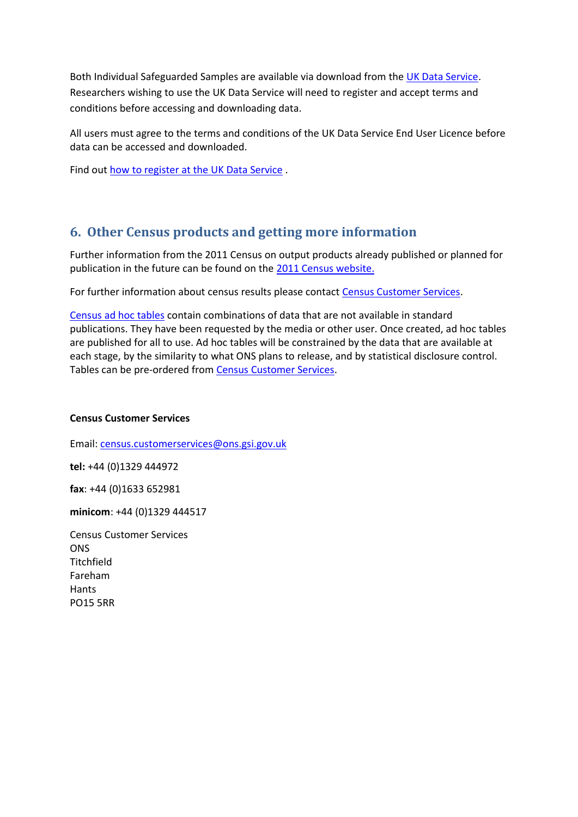Both Individual Safeguarded Samples are available via download from th[e UK Data Service.](http://www.ons.gov.uk/ons/external-links/census-2011/uk-data-service.html) Researchers wishing to use the UK Data Service will need to register and accept terms and conditions before accessing and downloading data.

All users must agree to the terms and conditions of the UK Data Service End User Licence before data can be accessed and downloaded.

Find out [how to register at the UK Data Service](http://www.ons.gov.uk/ons/external-links/census-2011/uk-data-service---how-to-access.html) .

## **6. Other Census products and getting more information**

Further information from the 2011 Census on output products already published or planned for publication in the future can be found on the [2011 Census website.](http://www.ons.gov.uk/ons/guide-method/census/2011/census-data/index.html)

For further information about census results please contact [Census Customer Services.](http://www.ons.gov.uk/ons/guide-method/census/2011/census-customer-services/index.html)

[Census ad hoc tables](http://www.ons.gov.uk/ons/guide-method/census/2011/census-data/2011-census-ad-hoc-tables/index.html) contain combinations of data that are not available in standard publications. They have been requested by the media or other user. Once created, ad hoc tables are published for all to use. Ad hoc tables will be constrained by the data that are available at each stage, by the similarity to what ONS plans to release, and by statistical disclosure control. Tables can be pre-ordered from [Census Customer Services.](http://www.ons.gov.uk/ons/guide-method/census/2011/census-customer-services/index.html)

#### **Census Customer Services**

Email: [census.customerservices@ons.gsi.gov.uk](mailto:census.customerservices@ons.gsi.gov.uk)

**tel:** +44 (0)1329 444972

**fax**: +44 (0)1633 652981

**minicom**: +44 (0)1329 444517

<span id="page-4-0"></span>Census Customer Services **ONS Titchfield** Fareham Hants PO15 5RR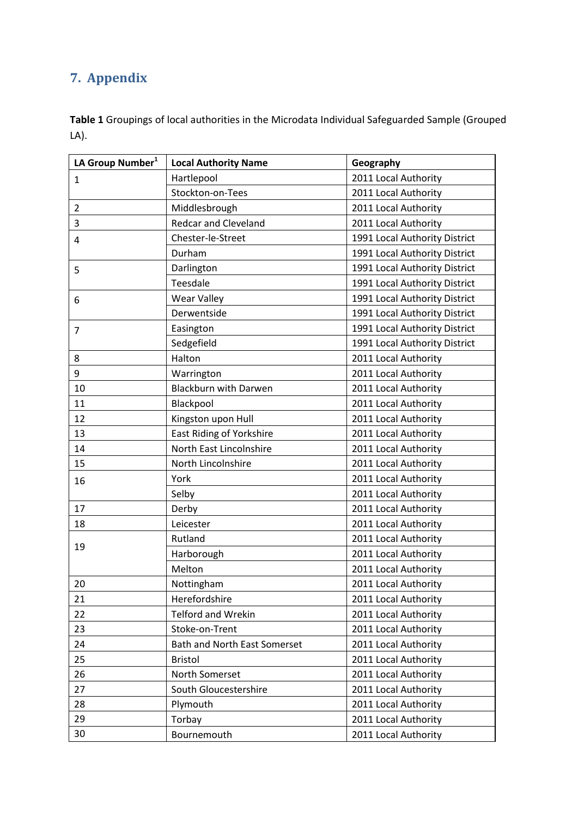## **7. Appendix**

**Table 1** Groupings of local authorities in the Microdata Individual Safeguarded Sample (Grouped LA).

| LA Group Number <sup>1</sup> | <b>Local Authority Name</b>         | Geography                     |
|------------------------------|-------------------------------------|-------------------------------|
| $\mathbf{1}$                 | Hartlepool                          | 2011 Local Authority          |
|                              | Stockton-on-Tees                    | 2011 Local Authority          |
| $\overline{2}$               | Middlesbrough                       | 2011 Local Authority          |
| 3                            | <b>Redcar and Cleveland</b>         | 2011 Local Authority          |
| 4                            | Chester-le-Street                   | 1991 Local Authority District |
|                              | Durham                              | 1991 Local Authority District |
| 5                            | Darlington                          | 1991 Local Authority District |
|                              | Teesdale                            | 1991 Local Authority District |
| 6                            | <b>Wear Valley</b>                  | 1991 Local Authority District |
|                              | Derwentside                         | 1991 Local Authority District |
| $\overline{7}$               | Easington                           | 1991 Local Authority District |
|                              | Sedgefield                          | 1991 Local Authority District |
| 8                            | Halton                              | 2011 Local Authority          |
| 9                            | Warrington                          | 2011 Local Authority          |
| 10                           | <b>Blackburn with Darwen</b>        | 2011 Local Authority          |
| 11                           | Blackpool                           | 2011 Local Authority          |
| 12                           | Kingston upon Hull                  | 2011 Local Authority          |
| 13                           | <b>East Riding of Yorkshire</b>     | 2011 Local Authority          |
| 14                           | North East Lincolnshire             | 2011 Local Authority          |
| 15                           | North Lincolnshire                  | 2011 Local Authority          |
| 16                           | York                                | 2011 Local Authority          |
|                              | Selby                               | 2011 Local Authority          |
| 17                           | Derby                               | 2011 Local Authority          |
| 18                           | Leicester                           | 2011 Local Authority          |
|                              | Rutland                             | 2011 Local Authority          |
| 19                           | Harborough                          | 2011 Local Authority          |
|                              | Melton                              | 2011 Local Authority          |
| 20                           | Nottingham                          | 2011 Local Authority          |
| 21                           | Herefordshire                       | 2011 Local Authority          |
| 22                           | <b>Telford and Wrekin</b>           | 2011 Local Authority          |
| 23                           | Stoke-on-Trent                      | 2011 Local Authority          |
| 24                           | <b>Bath and North East Somerset</b> | 2011 Local Authority          |
| 25                           | <b>Bristol</b>                      | 2011 Local Authority          |
| 26                           | North Somerset                      | 2011 Local Authority          |
| 27                           | South Gloucestershire               | 2011 Local Authority          |
| 28                           | Plymouth                            | 2011 Local Authority          |
| 29                           | Torbay                              | 2011 Local Authority          |
| 30                           | Bournemouth                         | 2011 Local Authority          |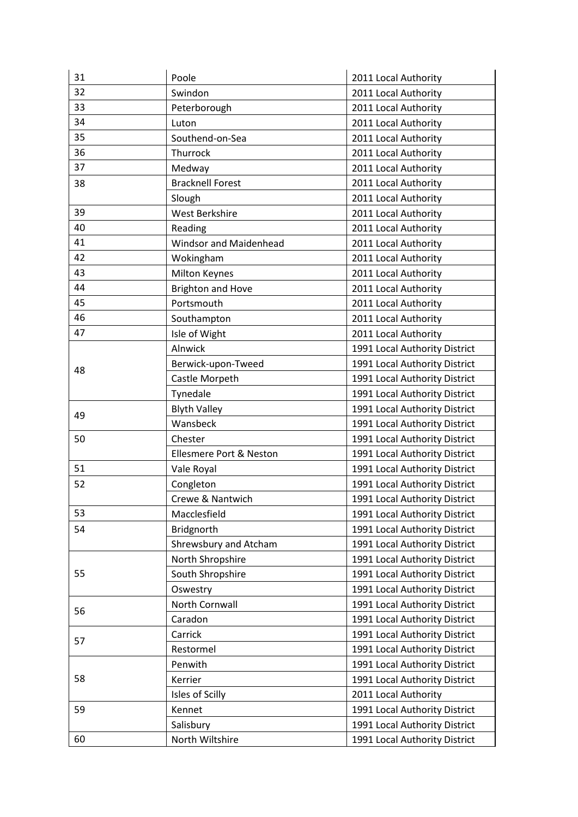| 31 | Poole                         | 2011 Local Authority          |
|----|-------------------------------|-------------------------------|
| 32 | Swindon                       | 2011 Local Authority          |
| 33 | Peterborough                  | 2011 Local Authority          |
| 34 | Luton                         | 2011 Local Authority          |
| 35 | Southend-on-Sea               | 2011 Local Authority          |
| 36 | Thurrock                      | 2011 Local Authority          |
| 37 | Medway                        | 2011 Local Authority          |
| 38 | <b>Bracknell Forest</b>       | 2011 Local Authority          |
|    | Slough                        | 2011 Local Authority          |
| 39 | West Berkshire                | 2011 Local Authority          |
| 40 | Reading                       | 2011 Local Authority          |
| 41 | <b>Windsor and Maidenhead</b> | 2011 Local Authority          |
| 42 | Wokingham                     | 2011 Local Authority          |
| 43 | Milton Keynes                 | 2011 Local Authority          |
| 44 | <b>Brighton and Hove</b>      | 2011 Local Authority          |
| 45 | Portsmouth                    | 2011 Local Authority          |
| 46 | Southampton                   | 2011 Local Authority          |
| 47 | Isle of Wight                 | 2011 Local Authority          |
|    | Alnwick                       | 1991 Local Authority District |
|    | Berwick-upon-Tweed            | 1991 Local Authority District |
| 48 | Castle Morpeth                | 1991 Local Authority District |
|    | Tynedale                      | 1991 Local Authority District |
|    | <b>Blyth Valley</b>           | 1991 Local Authority District |
| 49 | Wansbeck                      | 1991 Local Authority District |
| 50 | Chester                       | 1991 Local Authority District |
|    | Ellesmere Port & Neston       | 1991 Local Authority District |
| 51 | Vale Royal                    | 1991 Local Authority District |
| 52 | Congleton                     | 1991 Local Authority District |
|    | Crewe & Nantwich              | 1991 Local Authority District |
| 53 | Macclesfield                  | 1991 Local Authority District |
| 54 | Bridgnorth                    | 1991 Local Authority District |
|    | Shrewsbury and Atcham         | 1991 Local Authority District |
| 55 | North Shropshire              | 1991 Local Authority District |
|    | South Shropshire              | 1991 Local Authority District |
|    | Oswestry                      | 1991 Local Authority District |
|    | North Cornwall                | 1991 Local Authority District |
| 56 | Caradon                       | 1991 Local Authority District |
| 57 | Carrick                       | 1991 Local Authority District |
|    | Restormel                     | 1991 Local Authority District |
| 58 | Penwith                       | 1991 Local Authority District |
|    | Kerrier                       | 1991 Local Authority District |
|    | Isles of Scilly               | 2011 Local Authority          |
| 59 | Kennet                        | 1991 Local Authority District |
|    | Salisbury                     | 1991 Local Authority District |
| 60 | North Wiltshire               | 1991 Local Authority District |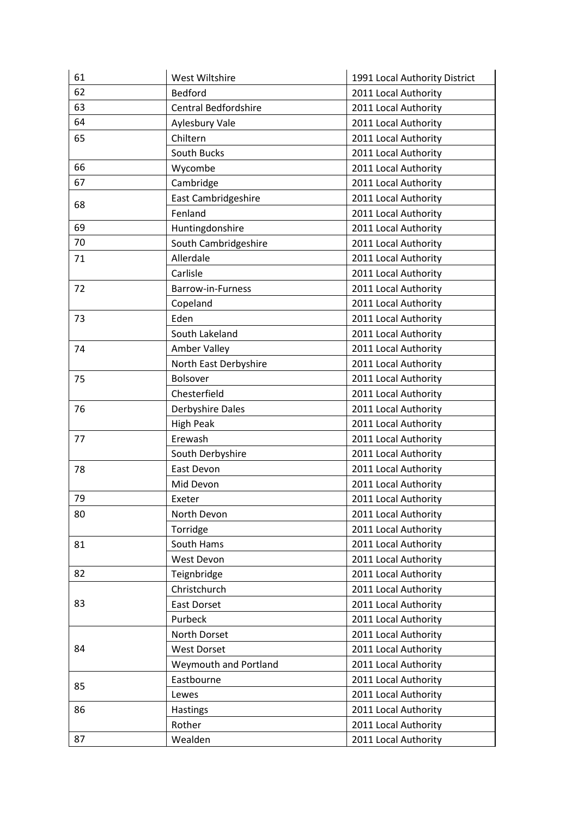| 61 | West Wiltshire               | 1991 Local Authority District |
|----|------------------------------|-------------------------------|
| 62 | <b>Bedford</b>               | 2011 Local Authority          |
| 63 | <b>Central Bedfordshire</b>  | 2011 Local Authority          |
| 64 | Aylesbury Vale               | 2011 Local Authority          |
| 65 | Chiltern                     | 2011 Local Authority          |
|    | South Bucks                  | 2011 Local Authority          |
| 66 | Wycombe                      | 2011 Local Authority          |
| 67 | Cambridge                    | 2011 Local Authority          |
|    | East Cambridgeshire          | 2011 Local Authority          |
| 68 | Fenland                      | 2011 Local Authority          |
| 69 | Huntingdonshire              | 2011 Local Authority          |
| 70 | South Cambridgeshire         | 2011 Local Authority          |
| 71 | Allerdale                    | 2011 Local Authority          |
|    | Carlisle                     | 2011 Local Authority          |
| 72 | Barrow-in-Furness            | 2011 Local Authority          |
|    | Copeland                     | 2011 Local Authority          |
| 73 | Eden                         | 2011 Local Authority          |
|    | South Lakeland               | 2011 Local Authority          |
| 74 | Amber Valley                 | 2011 Local Authority          |
|    | North East Derbyshire        | 2011 Local Authority          |
| 75 | <b>Bolsover</b>              | 2011 Local Authority          |
|    | Chesterfield                 | 2011 Local Authority          |
| 76 | <b>Derbyshire Dales</b>      | 2011 Local Authority          |
|    | <b>High Peak</b>             | 2011 Local Authority          |
| 77 | Erewash                      | 2011 Local Authority          |
|    | South Derbyshire             | 2011 Local Authority          |
| 78 | East Devon                   | 2011 Local Authority          |
|    | Mid Devon                    | 2011 Local Authority          |
| 79 | Exeter                       | 2011 Local Authority          |
| 80 | North Devon                  | 2011 Local Authority          |
|    | Torridge                     | 2011 Local Authority          |
| 81 | South Hams                   | 2011 Local Authority          |
|    | West Devon                   | 2011 Local Authority          |
| 82 | Teignbridge                  | 2011 Local Authority          |
|    | Christchurch                 | 2011 Local Authority          |
| 83 | East Dorset                  | 2011 Local Authority          |
|    | Purbeck                      | 2011 Local Authority          |
| 84 | North Dorset                 | 2011 Local Authority          |
|    | <b>West Dorset</b>           | 2011 Local Authority          |
|    | <b>Weymouth and Portland</b> | 2011 Local Authority          |
| 85 | Eastbourne                   | 2011 Local Authority          |
|    | Lewes                        | 2011 Local Authority          |
| 86 | Hastings                     | 2011 Local Authority          |
|    | Rother                       | 2011 Local Authority          |
| 87 | Wealden                      | 2011 Local Authority          |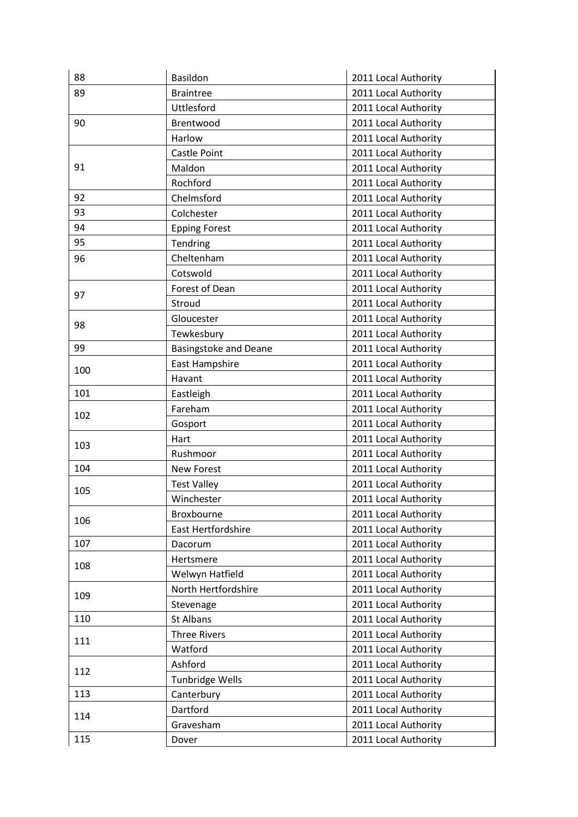| 88  | Basildon                     | 2011 Local Authority |
|-----|------------------------------|----------------------|
| 89  | <b>Braintree</b>             | 2011 Local Authority |
|     | <b>Uttlesford</b>            | 2011 Local Authority |
| 90  | Brentwood                    | 2011 Local Authority |
|     | Harlow                       | 2011 Local Authority |
|     | Castle Point                 | 2011 Local Authority |
| 91  | Maldon                       | 2011 Local Authority |
|     | Rochford                     | 2011 Local Authority |
| 92  | Chelmsford                   | 2011 Local Authority |
| 93  | Colchester                   | 2011 Local Authority |
| 94  | <b>Epping Forest</b>         | 2011 Local Authority |
| 95  | Tendring                     | 2011 Local Authority |
| 96  | Cheltenham                   | 2011 Local Authority |
|     | Cotswold                     | 2011 Local Authority |
| 97  | Forest of Dean               | 2011 Local Authority |
|     | Stroud                       | 2011 Local Authority |
| 98  | Gloucester                   | 2011 Local Authority |
|     | Tewkesbury                   | 2011 Local Authority |
| 99  | <b>Basingstoke and Deane</b> | 2011 Local Authority |
| 100 | East Hampshire               | 2011 Local Authority |
|     | Havant                       | 2011 Local Authority |
| 101 | Eastleigh                    | 2011 Local Authority |
| 102 | Fareham                      | 2011 Local Authority |
|     | Gosport                      | 2011 Local Authority |
| 103 | Hart                         | 2011 Local Authority |
|     | Rushmoor                     | 2011 Local Authority |
| 104 | <b>New Forest</b>            | 2011 Local Authority |
| 105 | <b>Test Valley</b>           | 2011 Local Authority |
|     | Winchester                   | 2011 Local Authority |
| 106 | Broxbourne                   | 2011 Local Authority |
|     | East Hertfordshire           | 2011 Local Authority |
| 107 | Dacorum                      | 2011 Local Authority |
| 108 | Hertsmere                    | 2011 Local Authority |
|     | Welwyn Hatfield              | 2011 Local Authority |
| 109 | North Hertfordshire          | 2011 Local Authority |
|     | Stevenage                    | 2011 Local Authority |
| 110 | St Albans                    | 2011 Local Authority |
| 111 | <b>Three Rivers</b>          | 2011 Local Authority |
|     | Watford                      | 2011 Local Authority |
| 112 | Ashford                      | 2011 Local Authority |
|     | Tunbridge Wells              | 2011 Local Authority |
| 113 | Canterbury                   | 2011 Local Authority |
| 114 | Dartford                     | 2011 Local Authority |
|     | Gravesham                    | 2011 Local Authority |
| 115 | Dover                        | 2011 Local Authority |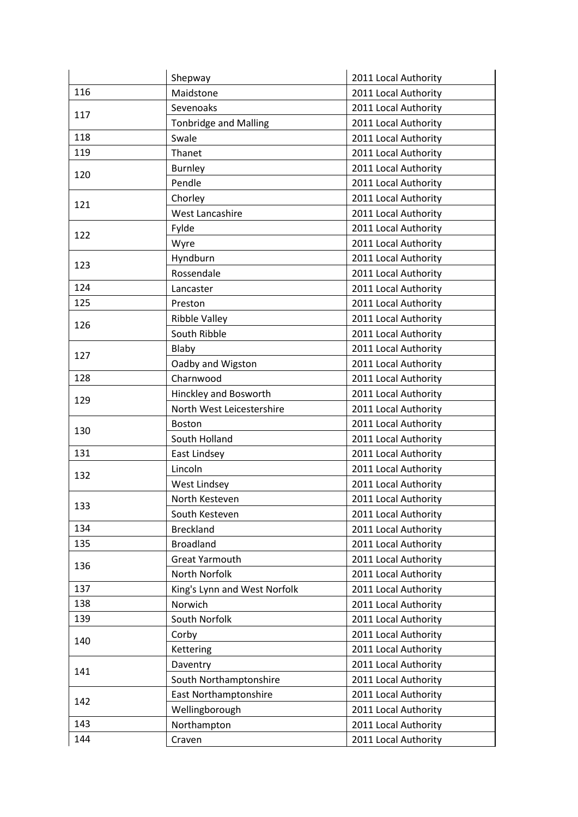|     | Shepway                      | 2011 Local Authority |
|-----|------------------------------|----------------------|
| 116 | Maidstone                    | 2011 Local Authority |
| 117 | Sevenoaks                    | 2011 Local Authority |
|     | <b>Tonbridge and Malling</b> | 2011 Local Authority |
| 118 | Swale                        | 2011 Local Authority |
| 119 | Thanet                       | 2011 Local Authority |
| 120 | <b>Burnley</b>               | 2011 Local Authority |
|     | Pendle                       | 2011 Local Authority |
| 121 | Chorley                      | 2011 Local Authority |
|     | <b>West Lancashire</b>       | 2011 Local Authority |
| 122 | Fylde                        | 2011 Local Authority |
|     | Wyre                         | 2011 Local Authority |
| 123 | Hyndburn                     | 2011 Local Authority |
|     | Rossendale                   | 2011 Local Authority |
| 124 | Lancaster                    | 2011 Local Authority |
| 125 | Preston                      | 2011 Local Authority |
| 126 | <b>Ribble Valley</b>         | 2011 Local Authority |
|     | South Ribble                 | 2011 Local Authority |
| 127 | Blaby                        | 2011 Local Authority |
|     | Oadby and Wigston            | 2011 Local Authority |
| 128 | Charnwood                    | 2011 Local Authority |
| 129 | Hinckley and Bosworth        | 2011 Local Authority |
|     | North West Leicestershire    | 2011 Local Authority |
| 130 | <b>Boston</b>                | 2011 Local Authority |
|     | South Holland                | 2011 Local Authority |
| 131 | East Lindsey                 | 2011 Local Authority |
| 132 | Lincoln                      | 2011 Local Authority |
|     | <b>West Lindsey</b>          | 2011 Local Authority |
| 133 | North Kesteven               | 2011 Local Authority |
|     | South Kesteven               | 2011 Local Authority |
| 134 | <b>Breckland</b>             | 2011 Local Authority |
| 135 | <b>Broadland</b>             | 2011 Local Authority |
| 136 | <b>Great Yarmouth</b>        | 2011 Local Authority |
|     | North Norfolk                | 2011 Local Authority |
| 137 | King's Lynn and West Norfolk | 2011 Local Authority |
| 138 | Norwich                      | 2011 Local Authority |
| 139 | South Norfolk                | 2011 Local Authority |
| 140 | Corby                        | 2011 Local Authority |
|     | Kettering                    | 2011 Local Authority |
| 141 | Daventry                     | 2011 Local Authority |
|     | South Northamptonshire       | 2011 Local Authority |
| 142 | East Northamptonshire        | 2011 Local Authority |
|     | Wellingborough               | 2011 Local Authority |
| 143 | Northampton                  | 2011 Local Authority |
| 144 | Craven                       | 2011 Local Authority |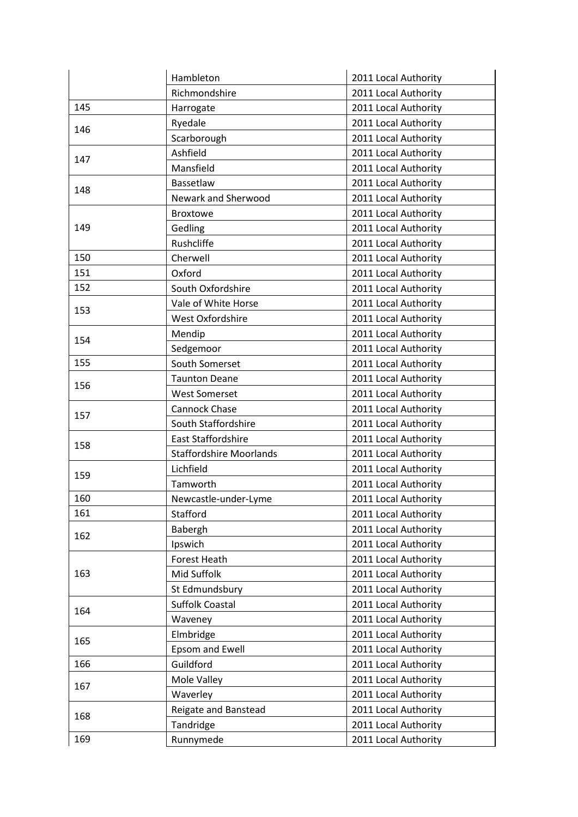|     | Hambleton                      | 2011 Local Authority |
|-----|--------------------------------|----------------------|
|     | Richmondshire                  | 2011 Local Authority |
| 145 | Harrogate                      | 2011 Local Authority |
| 146 | Ryedale                        | 2011 Local Authority |
|     | Scarborough                    | 2011 Local Authority |
| 147 | Ashfield                       | 2011 Local Authority |
|     | Mansfield                      | 2011 Local Authority |
| 148 | Bassetlaw                      | 2011 Local Authority |
|     | Newark and Sherwood            | 2011 Local Authority |
|     | <b>Broxtowe</b>                | 2011 Local Authority |
| 149 | Gedling                        | 2011 Local Authority |
|     | Rushcliffe                     | 2011 Local Authority |
| 150 | Cherwell                       | 2011 Local Authority |
| 151 | Oxford                         | 2011 Local Authority |
| 152 | South Oxfordshire              | 2011 Local Authority |
| 153 | Vale of White Horse            | 2011 Local Authority |
|     | West Oxfordshire               | 2011 Local Authority |
| 154 | Mendip                         | 2011 Local Authority |
|     | Sedgemoor                      | 2011 Local Authority |
| 155 | South Somerset                 | 2011 Local Authority |
| 156 | <b>Taunton Deane</b>           | 2011 Local Authority |
|     | <b>West Somerset</b>           | 2011 Local Authority |
| 157 | Cannock Chase                  | 2011 Local Authority |
|     | South Staffordshire            | 2011 Local Authority |
| 158 | <b>East Staffordshire</b>      | 2011 Local Authority |
|     | <b>Staffordshire Moorlands</b> | 2011 Local Authority |
| 159 | Lichfield                      | 2011 Local Authority |
|     | Tamworth                       | 2011 Local Authority |
| 160 | Newcastle-under-Lyme           | 2011 Local Authority |
| 161 | Stafford                       | 2011 Local Authority |
| 162 | Babergh                        | 2011 Local Authority |
|     | Ipswich                        | 2011 Local Authority |
|     | Forest Heath                   | 2011 Local Authority |
| 163 | Mid Suffolk                    | 2011 Local Authority |
|     | St Edmundsbury                 | 2011 Local Authority |
| 164 | <b>Suffolk Coastal</b>         | 2011 Local Authority |
|     | Waveney                        | 2011 Local Authority |
| 165 | Elmbridge                      | 2011 Local Authority |
|     | Epsom and Ewell                | 2011 Local Authority |
| 166 | Guildford                      | 2011 Local Authority |
| 167 | Mole Valley                    | 2011 Local Authority |
|     | Waverley                       | 2011 Local Authority |
| 168 | Reigate and Banstead           | 2011 Local Authority |
|     | Tandridge                      | 2011 Local Authority |
| 169 | Runnymede                      | 2011 Local Authority |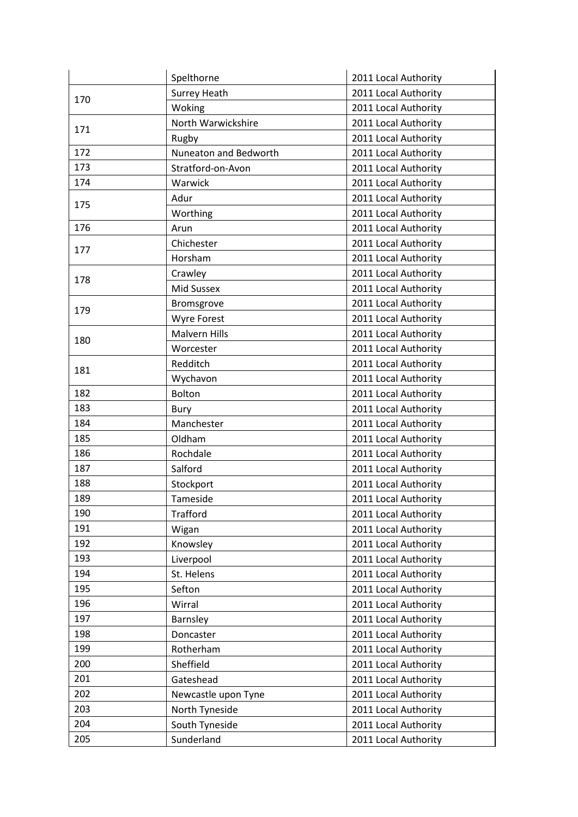|     | Spelthorne            | 2011 Local Authority |
|-----|-----------------------|----------------------|
| 170 | <b>Surrey Heath</b>   | 2011 Local Authority |
|     | Woking                | 2011 Local Authority |
| 171 | North Warwickshire    | 2011 Local Authority |
|     | Rugby                 | 2011 Local Authority |
| 172 | Nuneaton and Bedworth | 2011 Local Authority |
| 173 | Stratford-on-Avon     | 2011 Local Authority |
| 174 | Warwick               | 2011 Local Authority |
| 175 | Adur                  | 2011 Local Authority |
|     | Worthing              | 2011 Local Authority |
| 176 | Arun                  | 2011 Local Authority |
| 177 | Chichester            | 2011 Local Authority |
|     | Horsham               | 2011 Local Authority |
| 178 | Crawley               | 2011 Local Authority |
|     | <b>Mid Sussex</b>     | 2011 Local Authority |
| 179 | Bromsgrove            | 2011 Local Authority |
|     | <b>Wyre Forest</b>    | 2011 Local Authority |
| 180 | <b>Malvern Hills</b>  | 2011 Local Authority |
|     | Worcester             | 2011 Local Authority |
| 181 | Redditch              | 2011 Local Authority |
|     | Wychavon              | 2011 Local Authority |
| 182 | <b>Bolton</b>         | 2011 Local Authority |
| 183 | Bury                  | 2011 Local Authority |
| 184 | Manchester            | 2011 Local Authority |
| 185 | Oldham                | 2011 Local Authority |
| 186 | Rochdale              | 2011 Local Authority |
| 187 | Salford               | 2011 Local Authority |
| 188 | Stockport             | 2011 Local Authority |
| 189 | Tameside              | 2011 Local Authority |
| 190 | <b>Trafford</b>       | 2011 Local Authority |
| 191 | Wigan                 | 2011 Local Authority |
| 192 | Knowsley              | 2011 Local Authority |
| 193 | Liverpool             | 2011 Local Authority |
| 194 | St. Helens            | 2011 Local Authority |
| 195 | Sefton                | 2011 Local Authority |
| 196 | Wirral                | 2011 Local Authority |
| 197 | Barnsley              | 2011 Local Authority |
| 198 | Doncaster             | 2011 Local Authority |
| 199 | Rotherham             | 2011 Local Authority |
| 200 | Sheffield             | 2011 Local Authority |
| 201 | Gateshead             | 2011 Local Authority |
| 202 | Newcastle upon Tyne   | 2011 Local Authority |
| 203 | North Tyneside        | 2011 Local Authority |
| 204 | South Tyneside        | 2011 Local Authority |
| 205 | Sunderland            | 2011 Local Authority |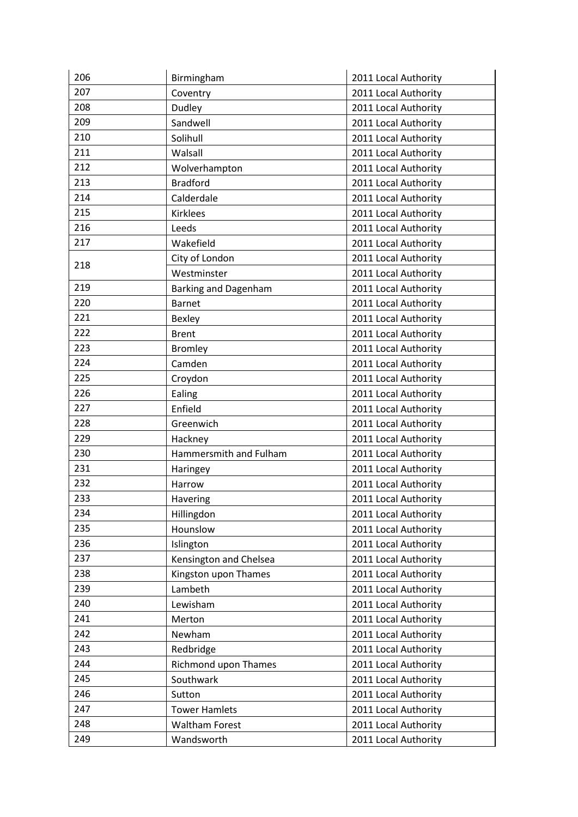| 206 | Birmingham                  | 2011 Local Authority |
|-----|-----------------------------|----------------------|
| 207 | Coventry                    | 2011 Local Authority |
| 208 | Dudley                      | 2011 Local Authority |
| 209 | Sandwell                    | 2011 Local Authority |
| 210 | Solihull                    | 2011 Local Authority |
| 211 | Walsall                     | 2011 Local Authority |
| 212 | Wolverhampton               | 2011 Local Authority |
| 213 | <b>Bradford</b>             | 2011 Local Authority |
| 214 | Calderdale                  | 2011 Local Authority |
| 215 | <b>Kirklees</b>             | 2011 Local Authority |
| 216 | Leeds                       | 2011 Local Authority |
| 217 | Wakefield                   | 2011 Local Authority |
| 218 | City of London              | 2011 Local Authority |
|     | Westminster                 | 2011 Local Authority |
| 219 | <b>Barking and Dagenham</b> | 2011 Local Authority |
| 220 | Barnet                      | 2011 Local Authority |
| 221 | Bexley                      | 2011 Local Authority |
| 222 | <b>Brent</b>                | 2011 Local Authority |
| 223 | <b>Bromley</b>              | 2011 Local Authority |
| 224 | Camden                      | 2011 Local Authority |
| 225 | Croydon                     | 2011 Local Authority |
| 226 | Ealing                      | 2011 Local Authority |
| 227 | Enfield                     | 2011 Local Authority |
| 228 | Greenwich                   | 2011 Local Authority |
| 229 | Hackney                     | 2011 Local Authority |
| 230 | Hammersmith and Fulham      | 2011 Local Authority |
| 231 | Haringey                    | 2011 Local Authority |
| 232 | Harrow                      | 2011 Local Authority |
| 233 | Havering                    | 2011 Local Authority |
| 234 | Hillingdon                  | 2011 Local Authority |
| 235 | Hounslow                    | 2011 Local Authority |
| 236 | Islington                   | 2011 Local Authority |
| 237 | Kensington and Chelsea      | 2011 Local Authority |
| 238 | Kingston upon Thames        | 2011 Local Authority |
| 239 | Lambeth                     | 2011 Local Authority |
| 240 | Lewisham                    | 2011 Local Authority |
| 241 | Merton                      | 2011 Local Authority |
| 242 | Newham                      | 2011 Local Authority |
| 243 | Redbridge                   | 2011 Local Authority |
| 244 | Richmond upon Thames        | 2011 Local Authority |
| 245 | Southwark                   | 2011 Local Authority |
| 246 | Sutton                      | 2011 Local Authority |
| 247 | <b>Tower Hamlets</b>        | 2011 Local Authority |
| 248 | <b>Waltham Forest</b>       | 2011 Local Authority |
| 249 | Wandsworth                  | 2011 Local Authority |